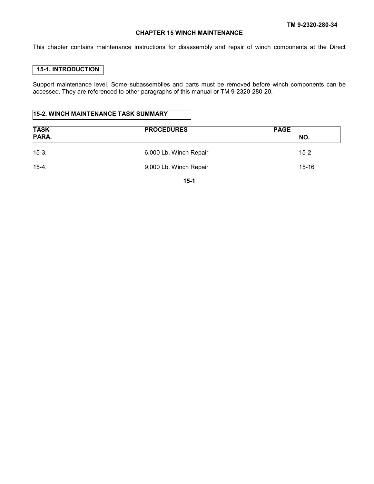### **CHAPTER 15 WINCH MAINTENANCE**

This chapter contains maintenance instructions for disassembly and repair of winch components at the Direct

# **15-1. INTRODUCTION**

Support maintenance level. Some subassemblies and parts must be removed before winch components can be accessed. They are referenced to other paragraphs of this manual or TM 9-2320-280-20.

# **15-2. WINCH MAINTENANCE TASK SUMMARY**

| <b>TASK</b><br>PARA. | <b>PROCEDURES</b>      | <b>PAGE</b><br>NO. |
|----------------------|------------------------|--------------------|
| $15-3.$              | 6,000 Lb. Winch Repair | $15 - 2$           |
| $15-4.$              | 9,000 Lb. Winch Repair | $15 - 16$          |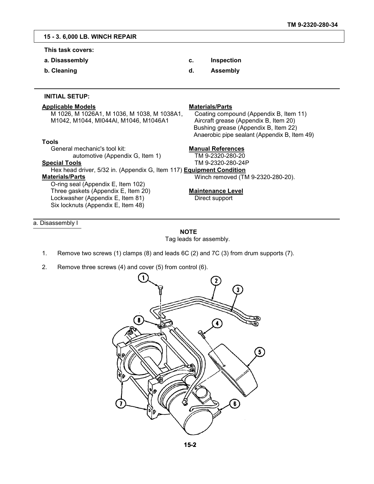| 15 - 3. 6,000 LB. WINCH REPAIR                                                                                   |                                                                                                                                                                                                   |                                   |  |  |
|------------------------------------------------------------------------------------------------------------------|---------------------------------------------------------------------------------------------------------------------------------------------------------------------------------------------------|-----------------------------------|--|--|
| This task covers:                                                                                                |                                                                                                                                                                                                   |                                   |  |  |
| a. Disassembly                                                                                                   | c.                                                                                                                                                                                                | <b>Inspection</b>                 |  |  |
| b. Cleaning                                                                                                      | d.                                                                                                                                                                                                | <b>Assembly</b>                   |  |  |
|                                                                                                                  |                                                                                                                                                                                                   |                                   |  |  |
| <b>INITIAL SETUP:</b>                                                                                            |                                                                                                                                                                                                   |                                   |  |  |
| <b>Applicable Models</b><br>M 1026, M 1026A1, M 1036, M 1038, M 1038A1,<br>M1042, M1044, MI044AI, M1046, M1046A1 | <b>Materials/Parts</b><br>Coating compound (Appendix B, Item 11)<br>Aircraft grease (Appendix B, Item 20)<br>Bushing grease (Appendix B, Item 22)<br>Anaerobic pipe sealant (Appendix B, Item 49) |                                   |  |  |
| <b>Tools</b><br>General mechanic's tool kit:<br><b>Manual References</b>                                         |                                                                                                                                                                                                   |                                   |  |  |
| automotive (Appendix G, Item 1)                                                                                  |                                                                                                                                                                                                   | TM 9-2320-280-20                  |  |  |
| <b>Special Tools</b>                                                                                             |                                                                                                                                                                                                   | TM 9-2320-280-24P                 |  |  |
| Hex head driver, 5/32 in. (Appendix G, Item 117) <b>Equipment Condition</b>                                      |                                                                                                                                                                                                   |                                   |  |  |
| <b>Materials/Parts</b>                                                                                           |                                                                                                                                                                                                   | Winch removed (TM 9-2320-280-20). |  |  |
| O-ring seal (Appendix E, Item 102)<br>Three gaskets (Appendix E, Item 20)                                        |                                                                                                                                                                                                   | <b>Maintenance Level</b>          |  |  |
| Lockwasher (Appendix E, Item 81)<br>Six locknuts (Appendix E, Item 48)                                           |                                                                                                                                                                                                   | Direct support                    |  |  |

a. Disassembly I

**NOTE**  Tag leads for assembly.

- 1. Remove two screws (1) clamps (8) and leads 6C (2) and 7C (3) from drum supports (7).
- 2. Remove three screws (4) and cover (5) from control (6).

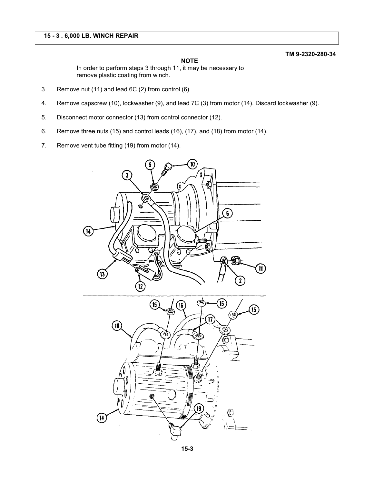### **NOTE**

In order to perform steps 3 through 11, it may be necessary to remove plastic coating from winch.

- 3. Remove nut (11) and lead 6C (2) from control (6).
- 4. Remove capscrew (10), lockwasher (9), and lead 7C (3) from motor (14). Discard lockwasher (9).
- 5. Disconnect motor connector (13) from control connector (12).
- 6. Remove three nuts (15) and control leads (16), (17), and (18) from motor (14).
- 7. Remove vent tube fitting (19) from motor (14).





**TM 9-2320-280-34**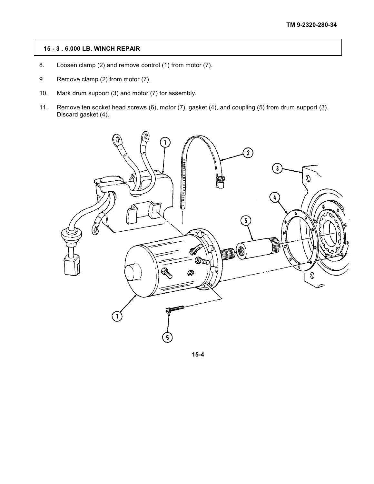- 8. Loosen clamp (2) and remove control (1) from motor (7).
- 9. Remove clamp (2) from motor (7).
- 10. Mark drum support (3) and motor (7) for assembly.
- 11. Remove ten socket head screws (6), motor (7), gasket (4), and coupling (5) from drum support (3). Discard gasket (4).

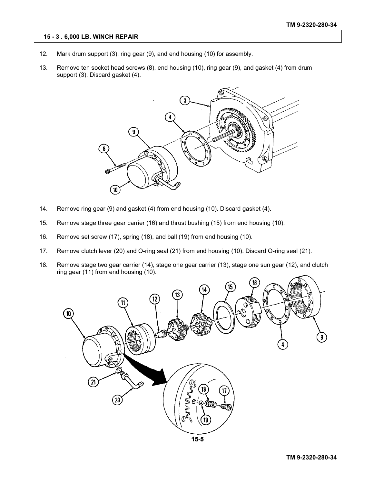- 12. Mark drum support (3), ring gear (9), and end housing (10) for assembly.
- 13. Remove ten socket head screws (8), end housing (10), ring gear (9), and gasket (4) from drum support (3). Discard gasket (4).



- 14. Remove ring gear (9) and gasket (4) from end housing (10). Discard gasket (4).
- 15. Remove stage three gear carrier (16) and thrust bushing (15) from end housing (10).
- 16. Remove set screw (17), spring (18), and ball (19) from end housing (10).
- 17. Remove clutch lever (20) and O-ring seal (21) from end housing (10). Discard O-ring seal (21).
- 18. Remove stage two gear carrier (14), stage one gear carrier (13), stage one sun gear (12), and clutch ring gear (11) from end housing (10).

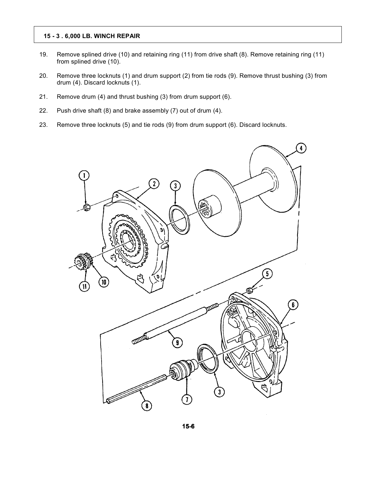- 19. Remove splined drive (10) and retaining ring (11) from drive shaft (8). Remove retaining ring (11) from splined drive (10).
- 20. Remove three locknuts (1) and drum support (2) from tie rods (9). Remove thrust bushing (3) from drum (4). Discard locknuts (1).
- 21. Remove drum (4) and thrust bushing (3) from drum support (6).
- 22. Push drive shaft (8) and brake assembly (7) out of drum (4).
- 23. Remove three locknuts (5) and tie rods (9) from drum support (6). Discard locknuts.

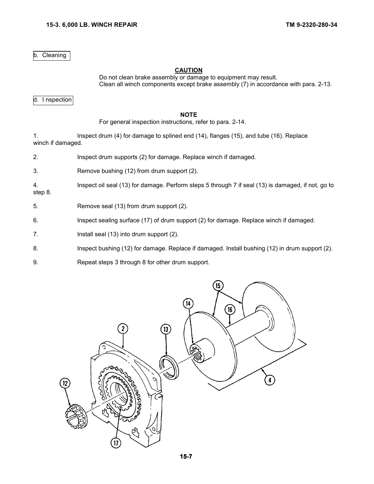# b. Cleaning

# **CAUTION**

Do not clean brake assembly or damage to equipment may result. Clean all winch components except brake assembly (7) in accordance with para. 2-13.

d. I nspection

### **NOTE**

For general inspection instructions, refer to para. 2-14.

1. Inspect drum (4) for damage to splined end (14), flanges (15), and tube (16). Replace winch if damaged.

| 2.            | Inspect drum supports (2) for damage. Replace winch if damaged.                                    |
|---------------|----------------------------------------------------------------------------------------------------|
| 3.            | Remove bushing (12) from drum support (2).                                                         |
| 4.<br>step 8. | Inspect oil seal (13) for damage. Perform steps 5 through 7 if seal (13) is damaged, if not, go to |
| 5.            | Remove seal (13) from drum support (2).                                                            |
| 6.            | Inspect sealing surface (17) of drum support (2) for damage. Replace winch if damaged.             |

7. Install seal (13) into drum support (2).

8. Inspect bushing (12) for damage. Replace if damaged. Install bushing (12) in drum support (2).

9. Repeat steps 3 through 8 for other drum support.

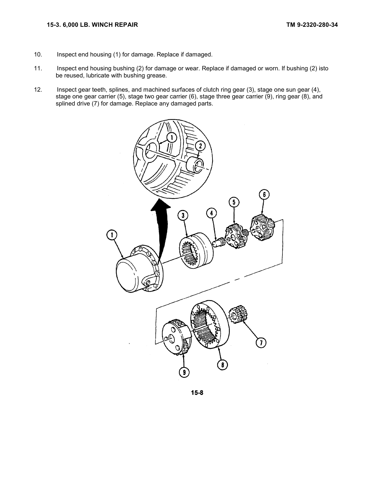### **15-3. 6,000 LB. WINCH REPAIR TM 9-2320-280-34**

- 10. Inspect end housing (1) for damage. Replace if damaged.
- 11. Inspect end housing bushing (2) for damage or wear. Replace if damaged or worn. If bushing (2) isto be reused, lubricate with bushing grease.
- 12. Inspect gear teeth, splines, and machined surfaces of clutch ring gear (3), stage one sun gear (4), stage one gear carrier (5), stage two gear carrier (6), stage three gear carrier (9), ring gear (8), and splined drive (7) for damage. Replace any damaged parts.

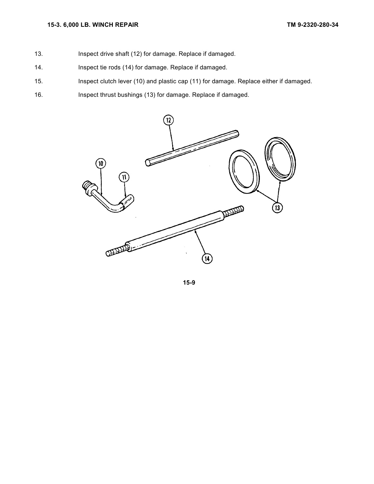# **15-3. 6,000 LB. WINCH REPAIR TM 9-2320-280-34**

- 13. Inspect drive shaft (12) for damage. Replace if damaged.
- 14. Inspect tie rods (14) for damage. Replace if damaged.
- 15. Inspect clutch lever (10) and plastic cap (11) for damage. Replace either if damaged.
- 16. Inspect thrust bushings (13) for damage. Replace if damaged.

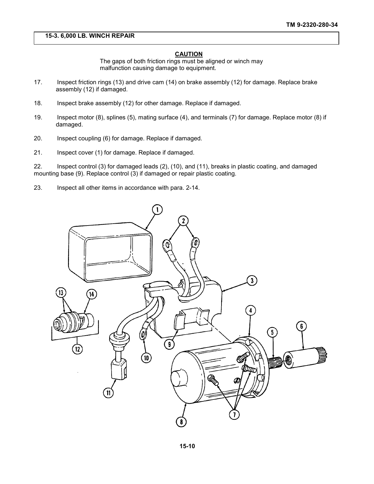#### **CAUTION**

The gaps of both friction rings must be aligned or winch may malfunction causing damage to equipment.

- 17. Inspect friction rings (13) and drive cam (14) on brake assembly (12) for damage. Replace brake assembly (12) if damaged.
- 18. Inspect brake assembly (12) for other damage. Replace if damaged.
- 19. Inspect motor (8), splines (5), mating surface (4), and terminals (7) for damage. Replace motor (8) if damaged.
- 20. Inspect coupling (6) for damage. Replace if damaged.
- 21. Inspect cover (1) for damage. Replace if damaged.

22. Inspect control (3) for damaged leads (2), (10), and (11), breaks in plastic coating, and damaged mounting base (9). Replace control (3) if damaged or repair plastic coating.

23. Inspect all other items in accordance with para. 2-14.

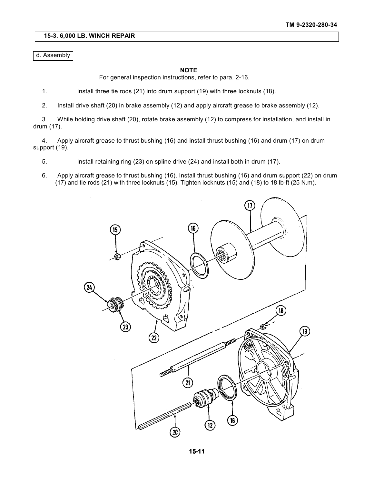d. Assembly

**NOTE** 

For general inspection instructions, refer to para. 2-16.

1. Install three tie rods (21) into drum support (19) with three locknuts (18).

2. Install drive shaft (20) in brake assembly (12) and apply aircraft grease to brake assembly (12).

3. While holding drive shaft (20), rotate brake assembly (12) to compress for installation, and install in drum (17).

- 4. Apply aircraft grease to thrust bushing (16) and install thrust bushing (16) and drum (17) on drum support (19).
	- 5. Install retaining ring (23) on spline drive (24) and install both in drum (17).
	- 6. Apply aircraft grease to thrust bushing (16). Install thrust bushing (16) and drum support (22) on drum (17) and tie rods (21) with three locknuts (15). Tighten locknuts (15) and (18) to 18 lb-ft (25 N.m).

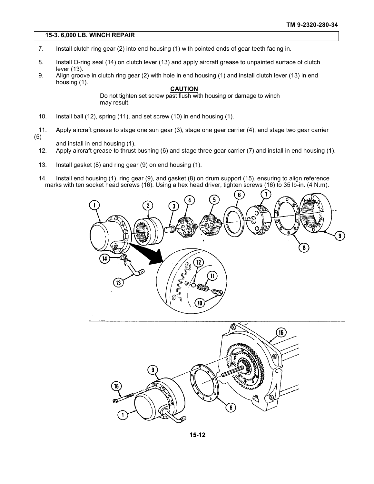- 7. Install clutch ring gear (2) into end housing (1) with pointed ends of gear teeth facing in.
- 8. Install O-ring seal (14) on clutch lever (13) and apply aircraft grease to unpainted surface of clutch lever (13).
- 9. Align groove in clutch ring gear (2) with hole in end housing (1) and install clutch lever (13) in end housing (1).

### **CAUTION**

Do not tighten set screw past flush with housing or damage to winch may result.

- 10. Install ball (12), spring (11), and set screw (10) in end housing (1).
- 11. Apply aircraft grease to stage one sun gear (3), stage one gear carrier (4), and stage two gear carrier (5)
	- and install in end housing (1).
	- 12. Apply aircraft grease to thrust bushing (6) and stage three gear carrier (7) and install in end housing (1).
	- 13. Install gasket (8) and ring gear (9) on end housing (1).
	- 14. Install end housing (1), ring gear (9), and gasket (8) on drum support (15), ensuring to align reference marks with ten socket head screws (16). Using a hex head driver, tighten screws (16) to 35 lb-in. (4 N.m).



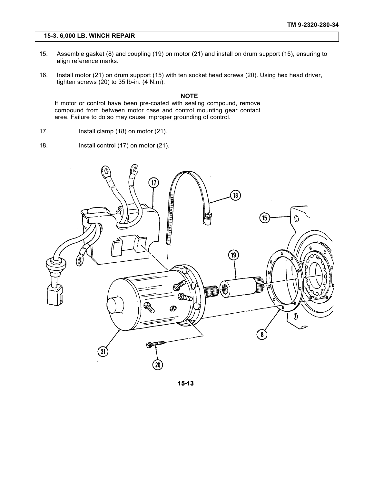- 15. Assemble gasket (8) and coupling (19) on motor (21) and install on drum support (15), ensuring to align reference marks.
- 16. Install motor (21) on drum support (15) with ten socket head screws (20). Using hex head driver, tighten screws (20) to 35 lb-in. (4 N.m).

**NOTE** 

If motor or control have been pre-coated with sealing compound, remove compound from between motor case and control mounting gear contact area. Failure to do so may cause improper grounding of control.

17. Install clamp (18) on motor (21).

18. Install control (17) on motor (21).



 $15 - 13$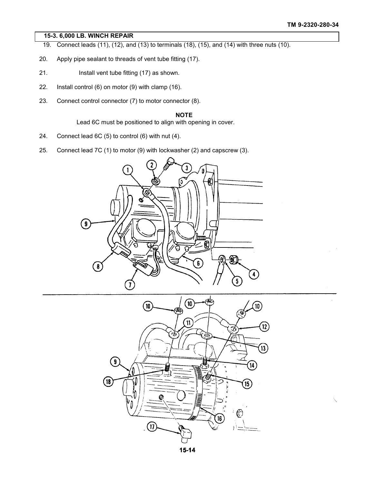- 19. Connect leads (11), (12), and (13) to terminals (18), (15), and (14) with three nuts (10).
- 20. Apply pipe sealant to threads of vent tube fitting (17).
- 21. Install vent tube fitting (17) as shown.
- 22. Install control (6) on motor (9) with clamp (16).
- 23. Connect control connector (7) to motor connector (8).

#### **NOTE**

Lead 6C must be positioned to align with opening in cover.

- 24. Connect lead 6C (5) to control (6) with nut (4).
- 25. Connect lead 7C (1) to motor (9) with lockwasher (2) and capscrew (3).



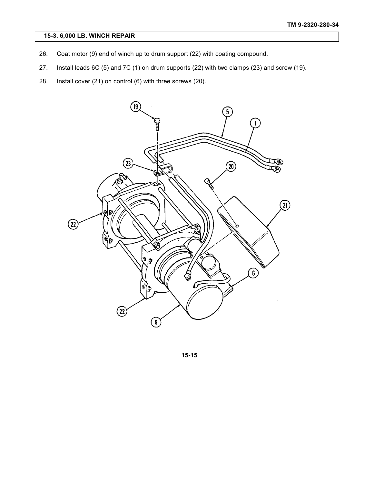- 26. Coat motor (9) end of winch up to drum support (22) with coating compound.
- 27. Install leads 6C (5) and 7C (1) on drum supports (22) with two clamps (23) and screw (19).
- 28. Install cover (21) on control (6) with three screws (20).



**15-15**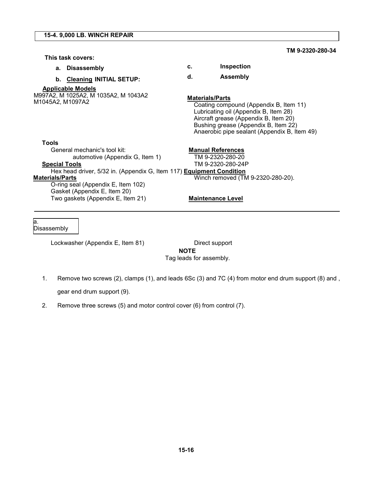|                                                                                                                                                                                                                                                                                                                      |    | TM 9-2320-280-34                                                                                                                                                                                                                           |
|----------------------------------------------------------------------------------------------------------------------------------------------------------------------------------------------------------------------------------------------------------------------------------------------------------------------|----|--------------------------------------------------------------------------------------------------------------------------------------------------------------------------------------------------------------------------------------------|
| This task covers:                                                                                                                                                                                                                                                                                                    |    |                                                                                                                                                                                                                                            |
| a. Disassembly                                                                                                                                                                                                                                                                                                       | c. | Inspection                                                                                                                                                                                                                                 |
| b. Cleaning INITIAL SETUP:                                                                                                                                                                                                                                                                                           | d. | <b>Assembly</b>                                                                                                                                                                                                                            |
| <b>Applicable Models</b><br>M997A2, M 1025A2, M 1035A2, M 1043A2<br>M1045A2, M1097A2                                                                                                                                                                                                                                 |    | <b>Materials/Parts</b><br>Coating compound (Appendix B, Item 11)<br>Lubricating oil (Appendix B, Item 28)<br>Aircraft grease (Appendix B, Item 20)<br>Bushing grease (Appendix B, Item 22)<br>Anaerobic pipe sealant (Appendix B, Item 49) |
| <b>Tools</b><br>General mechanic's tool kit:<br>automotive (Appendix G, Item 1)<br><b>Special Tools</b><br>Hex head driver, 5/32 in. (Appendix G, Item 117) <b>Equipment Condition</b><br>Materials/Parts<br>O-ring seal (Appendix E, Item 102)<br>Gasket (Appendix E, Item 20)<br>Two gaskets (Appendix E, Item 21) |    | <b>Manual References</b><br>TM 9-2320-280-20<br>TM 9-2320-280-24P<br>Winch removed (TM 9-2320-280-20).<br><b>Maintenance Level</b>                                                                                                         |
|                                                                                                                                                                                                                                                                                                                      |    |                                                                                                                                                                                                                                            |

a. **Disassembly** 

Lockwasher (Appendix E, Item 81) Direct support

**NOTE**  Tag leads for assembly.

- 1. Remove two screws (2), clamps (1), and leads 6Sc (3) and 7C (4) from motor end drum support (8) and , gear end drum support (9).
- 2. Remove three screws (5) and motor control cover (6) from control (7).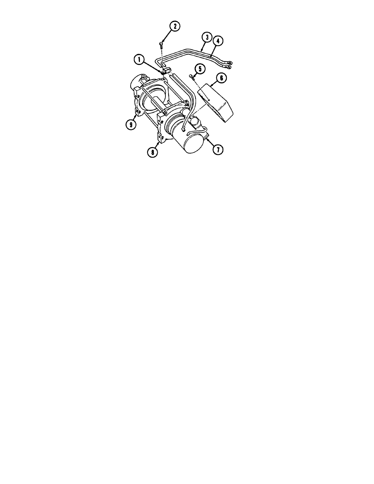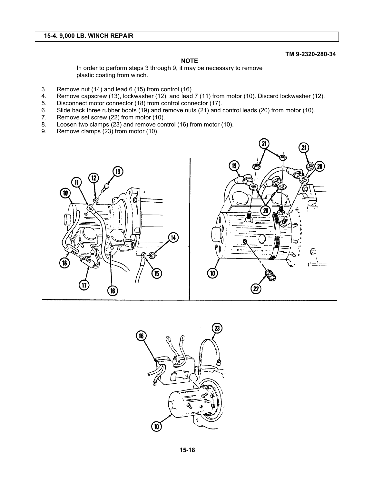**TM 9-2320-280-34** 

# **NOTE**

In order to perform steps 3 through 9, it may be necessary to remove plastic coating from winch.

- 3. Remove nut (14) and lead 6 (15) from control (16).
- 4. Remove capscrew (13), lockwasher (12), and lead 7 (11) from motor (10). Discard lockwasher (12).
- 5. Disconnect motor connector (18) from control connector (17).
- 6. Slide back three rubber boots (19) and remove nuts (21) and control leads (20) from motor (10).
- 7. Remove set screw (22) from motor (10).
- 8. Loosen two clamps (23) and remove control (16) from motor (10).<br>9. Remove clamps (23) from motor (10).
- Remove clamps (23) from motor (10).



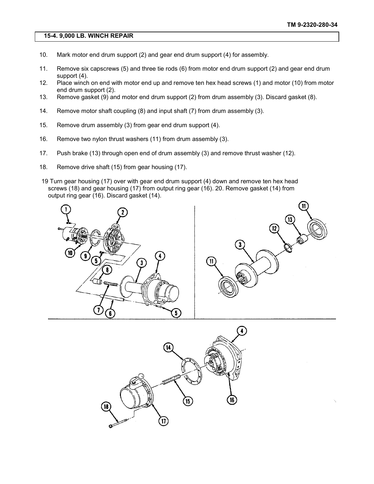- 10. Mark motor end drum support (2) and gear end drum support (4) for assembly.
- 11. Remove six capscrews (5) and three tie rods (6) from motor end drum support (2) and gear end drum support (4).
- 12. Place winch on end with motor end up and remove ten hex head screws (1) and motor (10) from motor end drum support (2).
- 13. Remove gasket (9) and motor end drum support (2) from drum assembly (3). Discard gasket (8).
- 14. Remove motor shaft coupling (8) and input shaft (7) from drum assembly (3).
- 15. Remove drum assembly (3) from gear end drum support (4).
- 16. Remove two nylon thrust washers (11) from drum assembly (3).
- 17. Push brake (13) through open end of drum assembly (3) and remove thrust washer (12).
- 18. Remove drive shaft (15) from gear housing (17).
- 19 Turn gear housing (17) over with gear end drum support (4) down and remove ten hex head screws (18) and gear housing (17) from output ring gear (16). 20. Remove gasket (14) from output ring gear (16). Discard gasket (14).



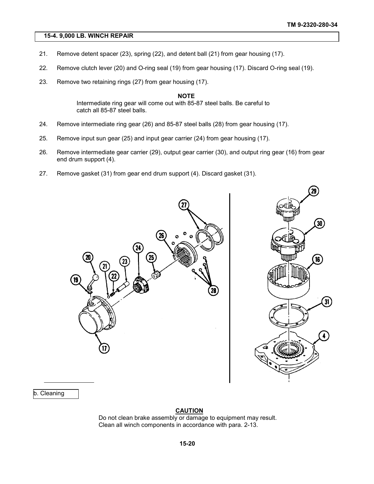- 21. Remove detent spacer (23), spring (22), and detent ball (21) from gear housing (17).
- 22. Remove clutch lever (20) and O-ring seal (19) from gear housing (17). Discard O-ring seal (19).
- 23. Remove two retaining rings (27) from gear housing (17).

#### **NOTE**

Intermediate ring gear will come out with 85-87 steel balls. Be careful to catch all 85-87 steel balls.

- 24. Remove intermediate ring gear (26) and 85-87 steel balls (28) from gear housing (17).
- 25. Remove input sun gear (25) and input gear carrier (24) from gear housing (17).
- 26. Remove intermediate gear carrier (29), output gear carrier (30), and output ring gear (16) from gear end drum support (4).
- 27. Remove gasket (31) from gear end drum support (4). Discard gasket (31).





b. Cleaning

### **CAUTION**

Do not clean brake assembly or damage to equipment may result. Clean all winch components in accordance with para. 2-13.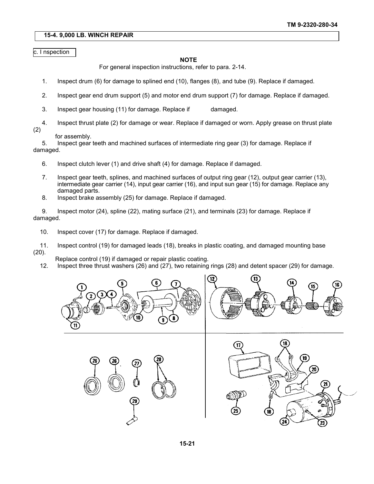### c. I nspection

# **NOTE**

For general inspection instructions, refer to para. 2-14.

- 1. Inspect drum (6) for damage to splined end (10), flanges (8), and tube (9). Replace if damaged.
- 2. Inspect gear end drum support (5) and motor end drum support (7) for damage. Replace if damaged.
- 3. Inspect gear housing (11) for damage. Replace if damaged.
- 4. Inspect thrust plate (2) for damage or wear. Replace if damaged or worn. Apply grease on thrust plate (2)
	- for assembly.

5. Inspect gear teeth and machined surfaces of intermediate ring gear (3) for damage. Replace if damaged.

- 6. Inspect clutch lever (1) and drive shaft (4) for damage. Replace if damaged.
- 7. Inspect gear teeth, splines, and machined surfaces of output ring gear (12), output gear carrier (13), intermediate gear carrier (14), input gear carrier (16), and input sun gear (15) for damage. Replace any damaged parts.
- 8. Inspect brake assembly (25) for damage. Replace if damaged.

9. Inspect motor (24), spline (22), mating surface (21), and terminals (23) for damage. Replace if damaged.

- 10. Inspect cover (17) for damage. Replace if damaged.
- 11. Inspect control (19) for damaged leads (18), breaks in plastic coating, and damaged mounting base (20).
	- Replace control (19) if damaged or repair plastic coating.
	- 12. Inspect three thrust washers (26) and (27), two retaining rings (28) and detent spacer (29) for damage.

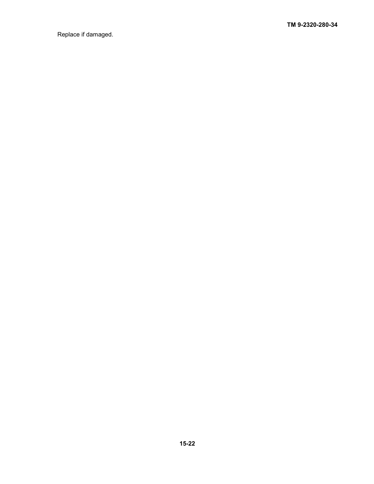Replace if damaged.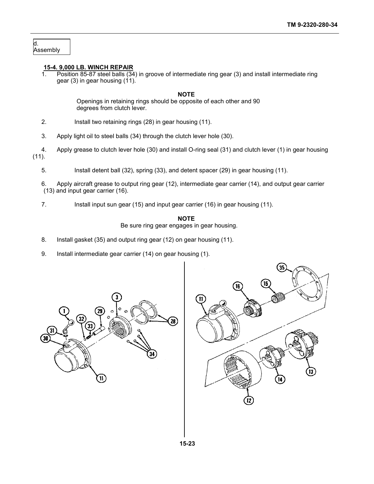d. Assembly

# **15-4. 9,000 LB. WINCH REPAIR**

Position 85-87 steel balls (34) in groove of intermediate ring gear (3) and install intermediate ring gear (3) in gear housing (11).

# **NOTE**

Openings in retaining rings should be opposite of each other and 90 degrees from clutch lever.

- 2. Install two retaining rings (28) in gear housing (11).
- 3. Apply light oil to steel balls (34) through the clutch lever hole (30).

4. Apply grease to clutch lever hole (30) and install O-ring seal (31) and clutch lever (1) in gear housing (11).

5. Install detent ball (32), spring (33), and detent spacer (29) in gear housing (11).

6. Apply aircraft grease to output ring gear (12), intermediate gear carrier (14), and output gear carrier (13) and input gear carrier (16).

7. Install input sun gear (15) and input gear carrier (16) in gear housing (11).

### **NOTE**  Be sure ring gear engages in gear housing.

- 8. Install gasket (35) and output ring gear (12) on gear housing (11).
- 9. Install intermediate gear carrier (14) on gear housing (1).



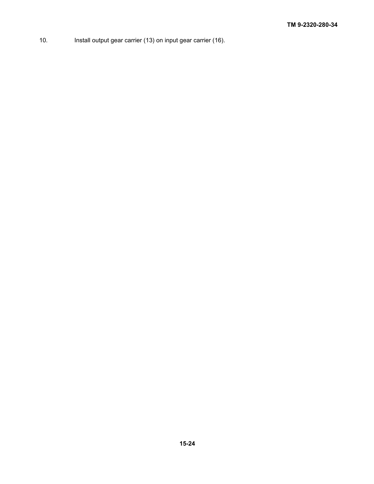10. Install output gear carrier (13) on input gear carrier (16).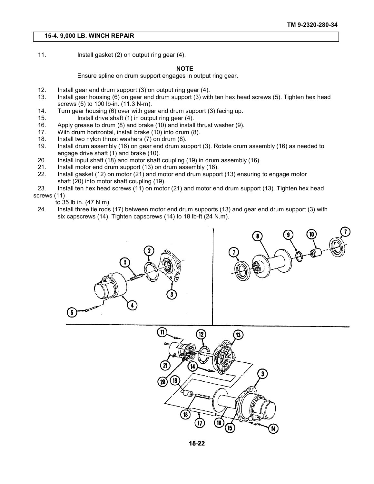11. Install gasket (2) on output ring gear (4).

#### **NOTE**

Ensure spline on drum support engages in output ring gear.

- 12. Install gear end drum support (3) on output ring gear (4).
- 13. Install gear housing (6) on gear end drum support (3) with ten hex head screws (5). Tighten hex head screws (5) to 100 lb-in. (11.3 N-m).
- 14. Turn gear housing (6) over with gear end drum support (3) facing up.
- 15. Install drive shaft (1) in output ring gear (4).
- 16. Apply grease to drum (8) and brake (10) and install thrust washer (9).
- 17. With drum horizontal, install brake (10) into drum (8).
- 18. Install two nylon thrust washers (7) on drum (8).
- 19. Install drum assembly (16) on gear end drum support (3). Rotate drum assembly (16) as needed to engage drive shaft (1) and brake (10).
- 20. Install input shaft (18) and motor shaft coupling (19) in drum assembly (16).
- 21. Install motor end drum support (13) on drum assembly (16).
- 22. Install gasket (12) on motor (21) and motor end drum support (13) ensuring to engage motor shaft (20) into motor shaft coupling (19).
- 23. Install ten hex head screws (11) on motor (21) and motor end drum support (13). Tighten hex head screws (11)

to 35 lb in. (47 N m).

24. Install three tie rods (17) between motor end drum supports (13) and gear end drum support (3) with six capscrews (14). Tighten capscrews (14) to 18 lb-ft (24 N.m).





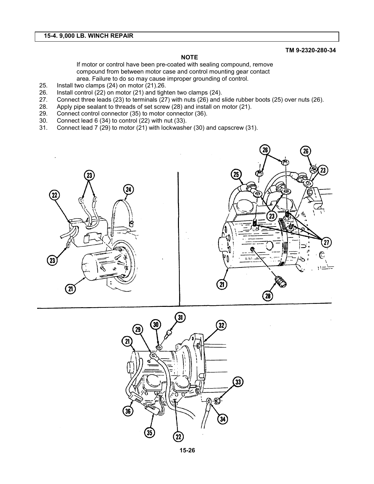# **TM 9-2320-280-34**

If motor or control have been pre-coated with sealing compound, remove compound from between motor case and control mounting gear contact

**NOTE** 

area. Failure to do so may cause improper grounding of control.

- 25. Install two clamps (24) on motor (21).26.
- 26. Install control (22) on motor (21) and tighten two clamps (24).<br>27. Connect three leads (23) to terminals (27) with nuts (26) and s
- 27. Connect three leads (23) to terminals (27) with nuts (26) and slide rubber boots (25) over nuts (26).<br>28. Apply pipe sealant to threads of set screw (28) and install on motor (21).
- Apply pipe sealant to threads of set screw (28) and install on motor (21).
- 29. Connect control connector (35) to motor connector (36).<br>30. Connect lead 6 (34) to control (22) with nut (33).
- 30. Connect lead 6 (34) to control (22) with nut (33).<br>31. Connect lead 7 (29) to motor (21) with lockwashe
- Connect lead  $7$  (29) to motor (21) with lockwasher (30) and capscrew (31).